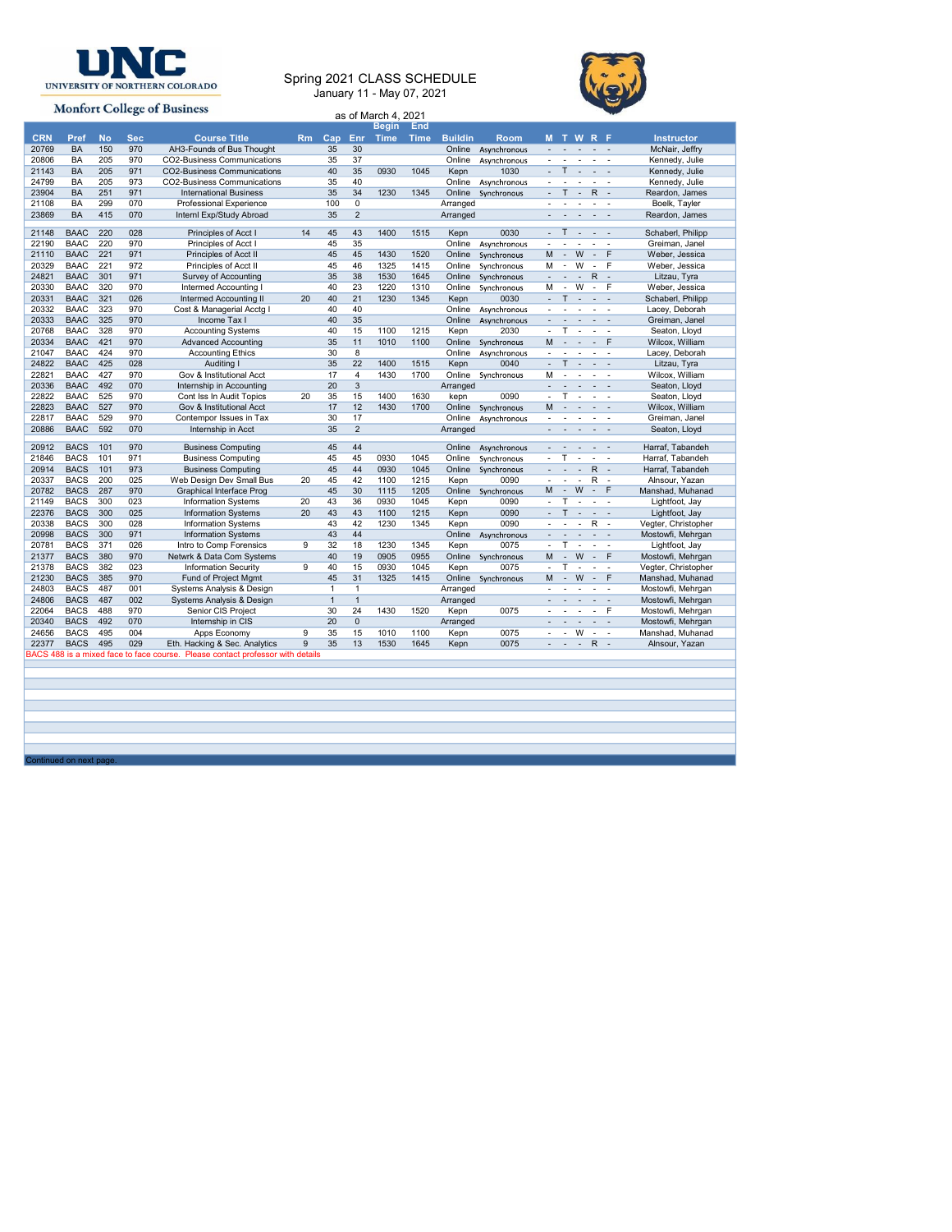

## Spring 2021 CLASS SCHEDULE And the state of  $\{ \downarrow \}$ January 11 - May 07, 2021



Continued on next page.

|                     |                                |                  |                   | <b>UNC</b>                                                                     |    |                                |                                |                           |              |                              |                                          |                |                                                                                                                                                            |                                          |
|---------------------|--------------------------------|------------------|-------------------|--------------------------------------------------------------------------------|----|--------------------------------|--------------------------------|---------------------------|--------------|------------------------------|------------------------------------------|----------------|------------------------------------------------------------------------------------------------------------------------------------------------------------|------------------------------------------|
|                     |                                |                  |                   |                                                                                |    |                                |                                |                           |              | Spring 2021 CLASS SCHEDULE   |                                          |                |                                                                                                                                                            |                                          |
|                     |                                |                  |                   | UNIVERSITY OF NORTHERN COLORADO                                                |    |                                |                                | January 11 - May 07, 2021 |              |                              |                                          |                |                                                                                                                                                            |                                          |
|                     |                                |                  |                   | <b>Monfort College of Business</b>                                             |    |                                |                                | as of March 4, 2021       |              |                              |                                          |                |                                                                                                                                                            |                                          |
|                     |                                |                  |                   |                                                                                |    |                                |                                | Begin End                 |              |                              |                                          |                |                                                                                                                                                            |                                          |
| <b>CRN</b><br>20769 | Pref<br>BA                     | <b>No</b><br>150 | <b>Sec</b><br>970 | <b>Course Title</b><br>AH3-Founds of Bus Thought                               |    | 35                             | 30                             |                           |              | Rm Cap Enr Time Time Buildin | <b>Room</b><br>Online Asynchronous       |                | <b>MTWRF</b><br>$\begin{array}{cccccccccccccc} \bullet & \bullet & \bullet & \bullet & \bullet & \bullet & \bullet & \bullet \end{array}$                  | <b>Instructor</b><br>McNair, Jeffry      |
| 20806               | BA                             | 205              | 970               | CO2-Business Communications                                                    |    | 35                             | 37                             |                           |              |                              | Online Asynchronous                      |                | $\begin{array}{cccccccccccccc} \bullet & \bullet & \bullet & \bullet & \bullet & \bullet & \bullet & \bullet \end{array}$<br>$-$ T $  -$                   | Kennedy, Julie                           |
| 21143<br>24799      | BA<br>BA                       | 205<br>205       | 971<br>973        | <b>CO2-Business Communications</b><br>CO2-Business Communications              |    | 40<br>35                       | 35<br>40                       | 0930                      | 1045         | Kepn                         | 1030<br>Online Asynchronous              |                | and a series of                                                                                                                                            | Kennedy, Julie<br>Kennedy, Julie         |
| 23904               | BA                             | 251              | 971               | <b>International Business</b>                                                  |    | 35                             | 34<br>$\mathbf{0}$             | 1230                      | 1345         |                              | Online Synchronous                       |                | $-T - R$ -<br>$\begin{array}{cccccccccccccc} \bullet & \bullet & \bullet & \bullet & \bullet & \bullet & \bullet & \bullet \end{array}$                    | Reardon, James                           |
| 21108<br>23869      | BA<br>BA                       | 299<br>415       | 070<br>070        | Professional Experience<br>Internl Exp/Study Abroad                            |    | 100<br>35                      | $\overline{2}$                 |                           |              | Arranged<br>Arranged         |                                          |                | and a series of                                                                                                                                            | Boelk, Tayler<br>Reardon, James          |
| 21148               | <b>BAAC</b>                    | 220              | 028               | Principles of Acct I                                                           | 14 | 45                             | 43                             | 1400                      | 1515         | Kepn                         | 0030                                     |                | $-$ T $  -$                                                                                                                                                | Schaberl, Philipp                        |
| 22190               | BAAC                           | 220              | 970               | Principles of Acct I                                                           |    | 45                             | 35                             |                           |              |                              | Online Asynchronous                      |                | and a state of the                                                                                                                                         | Greiman, Janel                           |
| 21110<br>20329      | BAAC<br>BAAC                   | 221<br>221       | 971<br>972        | Principles of Acct II<br>Principles of Acct II                                 |    | 45<br>45                       | 45<br>46                       | 1430<br>1325              | 1520<br>1415 |                              | Online Synchronous<br>Online Synchronous |                | M - W - F<br>M - W - F                                                                                                                                     | Weber, Jessica<br>Weber, Jessica         |
| 24821               | <b>BAAC</b>                    | 301              | 971               | Survey of Accounting                                                           |    | 35                             | 38                             | 1530                      | 1645         |                              | Online Synchronous                       |                | $- - - R -$                                                                                                                                                | Litzau, Tyra                             |
| 20330<br>20331      | BAAC<br><b>BAAC</b>            | 320<br>321       | 970<br>026        | Intermed Accounting I<br>Intermed Accounting II                                | 20 | 40<br>40                       | 23<br>21                       | 1220<br>1230              | 1310<br>1345 | Kepn                         | Online Synchronous<br>0030               |                | M - W - F<br>$-$ T $  -$                                                                                                                                   | Weber, Jessica<br>Schaberl, Philipp      |
| 20332               | BAAC                           | 323              | 970               | Cost & Managerial Acctg I                                                      |    | 40                             | 40                             |                           |              |                              | Online Asynchronous                      |                | and a state of the state                                                                                                                                   | Lacey, Deborah                           |
| 20333<br>20768      | BAAC<br><b>BAAC</b>            | 325<br>328       | 970<br>970        | Income Tax I<br><b>Accounting Systems</b>                                      |    | 40<br>40                       | 35<br>15                       | 1100                      | 1215         | Kepn                         | Online Asynchronous<br>2030              |                | and a state of the<br>$-$ T $  -$                                                                                                                          | Greiman, Janel<br>Seaton, Lloyd          |
| 20334               | <b>BAAC</b>                    | 421              | 970               | <b>Advanced Accounting</b>                                                     |    | 35                             | 11                             | 1010                      | 1100         |                              | Online Synchronous                       |                | $M - - - F$                                                                                                                                                | Wilcox, William                          |
| 21047<br>24822      | BAAC<br><b>BAAC</b>            | 424<br>425       | 970<br>028        | <b>Accounting Ethics</b><br>Auditing I                                         |    | 30<br>35                       | 8<br>22                        | 1400                      | 1515         | Kepn                         | Online Asynchronous<br>0040              |                | and a state of the state of<br>$-$ T $  -$                                                                                                                 | Lacey, Deborah<br>Litzau, Tyra           |
| 22821               | <b>BAAC</b>                    | 427              | 970               | Gov & Institutional Acct                                                       |    | 17                             | $\overline{4}$                 | 1430                      | 1700         |                              | Online Synchronous                       |                | M - - - -                                                                                                                                                  | Wilcox, William                          |
| 20336<br>22822      | BAAC<br>BAAC                   | 492<br>525       | 070<br>970        | Internship in Accounting<br>Cont Iss In Audit Topics                           | 20 | 20<br>35                       | $\mathbf{3}$<br>15             | 1400                      | 1630         | Arranged<br>kepn             | 0090                                     |                | and a state of the<br>$-$ T $  -$                                                                                                                          | Seaton, Lloyd<br>Seaton, Lloyd           |
| 22823               | <b>BAAC</b><br>BAAC            | 527<br>529       | 970<br>970        | Gov & Institutional Acct                                                       |    | 17<br>30                       | 12<br>17                       | 1430                      | 1700         |                              | Online Synchronous                       | M              | $\mathcal{A}=\mathcal{A}=\mathcal{A}=\mathcal{A}$<br>and a state of the state of                                                                           | Wilcox, William<br>Greiman, Janel        |
| 22817<br>20886      | <b>BAAC</b>                    | 592              | 070               | Contempor Issues in Tax<br>Internship in Acct                                  |    | 35                             | $\overline{2}$                 |                           |              | Arranged                     | Online Asynchronous                      |                | and a state of                                                                                                                                             | Seaton, Lloyd                            |
| 20912               | <b>BACS</b>                    | 101              | 970               | <b>Business Computing</b>                                                      |    | 45                             | 44                             |                           |              |                              | Online Asynchronous                      | $\sim$         | $\mathcal{A}=\mathcal{A}=\mathcal{A}=\mathcal{A}$                                                                                                          | Harraf, Tabandeh                         |
| 21846               | BACS                           | 101              | 971               | <b>Business Computing</b>                                                      |    | 45                             | 45                             | 0930                      | 1045         |                              | Online Synchronous                       | $\blacksquare$ | $T - 1 - 1$                                                                                                                                                | Harraf, Tabandeh                         |
| 20914<br>20337      | <b>BACS</b><br><b>BACS</b> 200 | 101              | 973<br>025        | <b>Business Computing</b><br>Web Design Dev Small Bus                          | 20 | 45<br>45                       | 44<br>42                       | 0930<br>1100              | 1045<br>1215 | Kepn                         | Online Synchronous<br>0090               |                | $- - - R$<br>$- - - R$                                                                                                                                     | Harraf, Tabandeh<br>Alnsour, Yazan       |
| 20782               | <b>BACS</b> 287<br>BACS        | 300              | 970<br>023        | Graphical Interface Prog<br><b>Information Systems</b>                         | 20 | 45<br>43                       | 30<br>36                       | 1115<br>0930              | 1205<br>1045 | Kepn                         | Online Synchronous<br>0090               |                | M - W - F<br>$-$ T $  -$                                                                                                                                   | Manshad, Muhanad<br>Lightfoot, Jay       |
| 21149<br>22376      | <b>BACS</b>                    | 300              | 025               | Information Systems                                                            | 20 | 43                             | 43                             | 1100                      | 1215         | Kepn                         | 0090                                     |                | $-$ T $  -$                                                                                                                                                | Lightfoot, Jay                           |
| 20338<br>20998      | <b>BACS</b><br><b>BACS 300</b> | 300              | 028<br>971        | <b>Information Systems</b><br><b>Information Systems</b>                       |    | 43<br>43                       | 42<br>44                       | 1230                      | 1345         | Kepn                         | 0090<br>Online Asynchronous              |                | $- - - R -$<br>and a series of                                                                                                                             | Vegter, Christopher<br>Mostowfi, Mehrgan |
| 20781               | <b>BACS</b>                    | 371              | 026               | Intro to Comp Forensics                                                        | 9  | 32                             | 18                             | 1230                      | 1345         | Kepn                         | 0075                                     |                | $-$ T $  -$                                                                                                                                                | Lightfoot, Jay                           |
| 21377<br>21378      | <b>BACS</b><br><b>BACS</b>     | 380<br>382       | 970<br>023        | Netwrk & Data Com Systems<br><b>Information Security</b>                       | 9  | 40<br>40                       | 19<br>15                       | 0905<br>0930              | 0955<br>1045 | Kepn                         | Online Synchronous<br>0075               |                | M - W - F<br>$-$ T $  -$                                                                                                                                   | Mostowfi, Mehrgan<br>Vegter, Christopher |
| 21230               | <b>BACS</b>                    | 385              | 970               | Fund of Project Mgmt                                                           |    | 45                             | 31                             | 1325                      | 1415         | Online                       | Synchronous                              |                | M - W - F                                                                                                                                                  | Manshad, Muhanad                         |
| 24803<br>24806      | <b>BACS</b><br><b>BACS</b> 487 | 487              | 001<br>002        | Systems Analysis & Design<br>Systems Analysis & Design                         |    | $\overline{1}$<br>$\mathbf{1}$ | $\overline{1}$<br>$\mathbf{1}$ |                           |              | Arranged<br>Arranged         |                                          |                | and a state of the<br>$\label{eq:2.1} \begin{array}{cccccccccc} \bullet & \bullet & \bullet & \bullet & \bullet & \bullet & \bullet & \bullet \end{array}$ | Mostowfi, Mehrgan<br>Mostowfi, Mehrgan   |
| 22064               | <b>BACS</b>                    | 488              | 970               | Senior CIS Project                                                             |    | 30                             | 24                             | 1430                      | 1520         | Kepn                         | 0075                                     |                | and a series. P                                                                                                                                            | Mostowfi, Mehrgan                        |
| 20340<br>24656      | BACS<br>BACS                   | 492<br>495       | 070<br>004        | Internship in CIS<br>Apps Economy                                              | 9  | 20<br>35                       | $\mathbf 0$<br>15              | 1010                      | 1100         | Arranged<br>Kepn             | 0075                                     |                | and a series of<br>$- - W - -$                                                                                                                             | Mostowfi, Mehrgan<br>Manshad, Muhanad    |
|                     | <b>BACS</b>                    | 495              | 029               | Eth. Hacking & Sec. Analytics                                                  | 9  | 35                             | 13                             | 1530                      | 1645         | Kepn                         | 0075                                     |                | $- - - R$                                                                                                                                                  | Alnsour, Yazan                           |
| 22377               |                                |                  |                   | BACS 488 is a mixed face to face course. Please contact professor with details |    |                                |                                |                           |              |                              |                                          |                |                                                                                                                                                            |                                          |